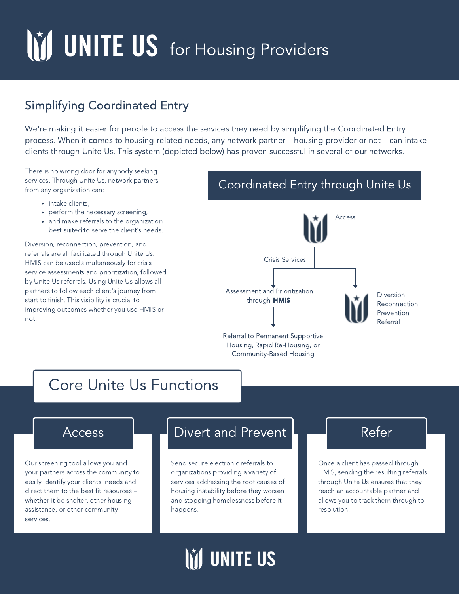# M UNITE US for Housing Providers

### Simplifying Coordinated Entry

We're making it easier for people to access the services they need by simplifying the Coordinated Entry process. When it comes to housing-related needs, any network partner – housing provider or not – can intake clients through Unite Us. This system (depicted below) has proven successful in several of our networks.

There is no wrong door for anybody seeking services. Through Unite Us, network partners from any organization can:

- intake clients,
- perform the necessary screening,
- and make referrals to the organization best suited to serve the client's needs.

Diversion, reconnection, prevention, and referrals are all facilitated through Unite Us. HMIS can be used simultaneously for crisis service assessments and prioritization, followed by Unite Us referrals. Using Unite Us allows all partners to follow each client's journey from start to finish. This visibility is crucial to improving outcomes whether you use HMIS or not.

### Coordinated Entry through Unite Us



### Core Unite Us Functions

Our screening tool allows you and your partners across the community to easily identify your clients' needs and direct them to the best fit resources – whether it be shelter, other housing assistance, or other community services.

### Access **Luite Divert and Prevent Luite Access** Refer

Community-Based Housing

Send secure electronic referrals to organizations providing a variety of services addressing the root causes of housing instability before they worsen and stopping homelessness before it happens.

Once a client has passed through HMIS, sending the resulting referrals through Unite Us ensures that they reach an accountable partner and allows you to track them through to resolution.

## **IM UNITE US**